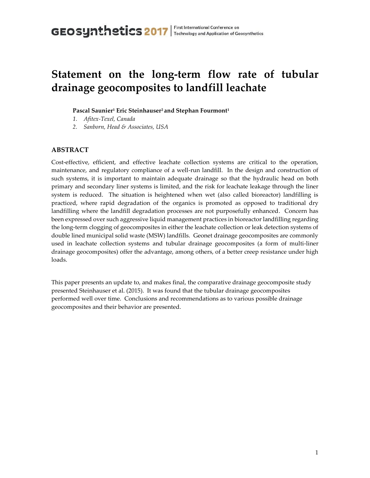# **Statement on the long-term flow rate of tubular drainage geocomposites to landfill leachate**

#### **Pascal Saunier<sup>1</sup> Eric Steinhauser<sup>2</sup> and Stephan Fourmont<sup>1</sup>**

- *1. Afitex-Texel, Canada*
- *2. Sanborn, Head & Associates, USA*

# **ABSTRACT**

Cost-effective, efficient, and effective leachate collection systems are critical to the operation, maintenance, and regulatory compliance of a well-run landfill. In the design and construction of such systems, it is important to maintain adequate drainage so that the hydraulic head on both primary and secondary liner systems is limited, and the risk for leachate leakage through the liner system is reduced. The situation is heightened when wet (also called bioreactor) landfilling is practiced, where rapid degradation of the organics is promoted as opposed to traditional dry landfilling where the landfill degradation processes are not purposefully enhanced. Concern has been expressed over such aggressive liquid management practices in bioreactor landfilling regarding the long-term clogging of geocomposites in either the leachate collection or leak detection systems of double lined municipal solid waste (MSW) landfills. Geonet drainage geocomposites are commonly used in leachate collection systems and tubular drainage geocomposites (a form of multi-liner drainage geocomposites) offer the advantage, among others, of a better creep resistance under high loads.

This paper presents an update to, and makes final, the comparative drainage geocomposite study presented Steinhauser et al. (2015). It was found that the tubular drainage geocomposites performed well over time. Conclusions and recommendations as to various possible drainage geocomposites and their behavior are presented.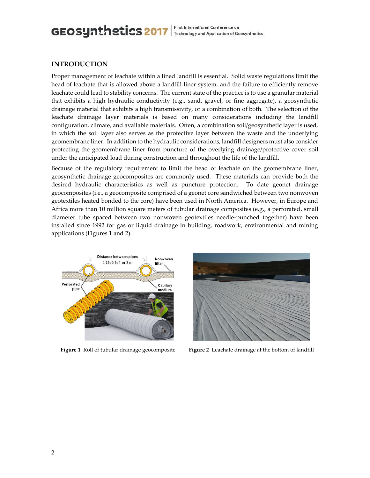### **INTRODUCTION**

Proper management of leachate within a lined landfill is essential. Solid waste regulations limit the head of leachate that is allowed above a landfill liner system, and the failure to efficiently remove leachate could lead to stability concerns. The current state of the practice is to use a granular material that exhibits a high hydraulic conductivity (e.g., sand, gravel, or fine aggregate), a geosynthetic drainage material that exhibits a high transmissivity, or a combination of both. The selection of the leachate drainage layer materials is based on many considerations including the landfill configuration, climate, and available materials. Often, a combination soil/geosynthetic layer is used, in which the soil layer also serves as the protective layer between the waste and the underlying geomembrane liner. In addition to the hydraulic considerations, landfill designers must also consider protecting the geomembrane liner from puncture of the overlying drainage/protective cover soil under the anticipated load during construction and throughout the life of the landfill.

Because of the regulatory requirement to limit the head of leachate on the geomembrane liner, geosynthetic drainage geocomposites are commonly used. These materials can provide both the desired hydraulic characteristics as well as puncture protection. To date geonet drainage geocomposites (i.e., a geocomposite comprised of a geonet core sandwiched between two nonwoven geotextiles heated bonded to the core) have been used in North America. However, in Europe and Africa more than 10 million square meters of tubular drainage composites (e.g., a perforated, small diameter tube spaced between two nonwoven geotextiles needle-punched together) have been installed since 1992 for gas or liquid drainage in building, roadwork, environmental and mining applications (Figures 1 and 2).





**Figure 1** Roll of tubular drainage geocomposite **Figure 2** Leachate drainage at the bottom of landfill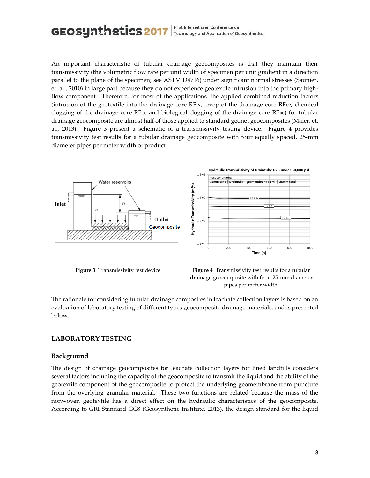An important characteristic of tubular drainage geocomposites is that they maintain their transmissivity (the volumetric flow rate per unit width of specimen per unit gradient in a direction parallel to the plane of the specimen; see ASTM D4716) under significant normal stresses (Saunier, et. al., 2010) in large part because they do not experience geotextile intrusion into the primary highflow component. Therefore, for most of the applications, the applied combined reduction factors (intrusion of the geotextile into the drainage core  $RF_{IN}$ , creep of the drainage core  $RF_{CR}$ , chemical clogging of the drainage core RF $cc$  and biological clogging of the drainage core RF $_{BC}$ ) for tubular drainage geocomposite are almost half of those applied to standard geonet geocomposites (Maier, et. al., 2013). Figure 3 present a schematic of a transmissivity testing device. Figure 4 provides transmissivity test results for a tubular drainage geocomposite with four equally spaced, 25-mm diameter pipes per meter width of product.





The rationale for considering tubular drainage composites in leachate collection layers is based on an evaluation of laboratory testing of different types geocomposite drainage materials, and is presented below.

# **LABORATORY TESTING**

### **Background**

The design of drainage geocomposites for leachate collection layers for lined landfills considers several factors including the capacity of the geocomposite to transmit the liquid and the ability of the geotextile component of the geocomposite to protect the underlying geomembrane from puncture from the overlying granular material. These two functions are related because the mass of the nonwoven geotextile has a direct effect on the hydraulic characteristics of the geocomposite. According to GRI Standard GC8 (Geosynthetic Institute, 2013), the design standard for the liquid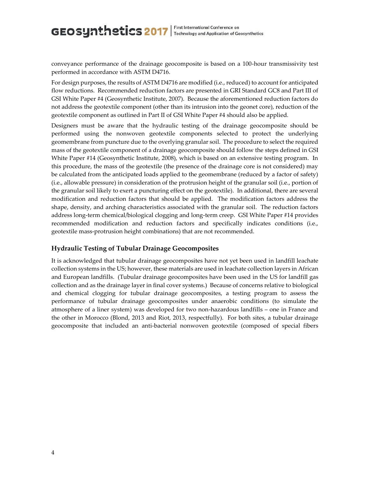conveyance performance of the drainage geocomposite is based on a 100-hour transmissivity test performed in accordance with ASTM D4716.

For design purposes, the results of ASTM D4716 are modified (i.e., reduced) to account for anticipated flow reductions. Recommended reduction factors are presented in GRI Standard GC8 and Part III of GSI White Paper #4 (Geosynthetic Institute, 2007). Because the aforementioned reduction factors do not address the geotextile component (other than its intrusion into the geonet core), reduction of the geotextile component as outlined in Part II of GSI White Paper #4 should also be applied.

Designers must be aware that the hydraulic testing of the drainage geocomposite should be performed using the nonwoven geotextile components selected to protect the underlying geomembrane from puncture due to the overlying granular soil. The procedure to select the required mass of the geotextile component of a drainage geocomposite should follow the steps defined in GSI White Paper #14 (Geosynthetic Institute, 2008), which is based on an extensive testing program. In this procedure, the mass of the geotextile (the presence of the drainage core is not considered) may be calculated from the anticipated loads applied to the geomembrane (reduced by a factor of safety) (i.e., allowable pressure) in consideration of the protrusion height of the granular soil (i.e., portion of the granular soil likely to exert a puncturing effect on the geotextile). In additional, there are several modification and reduction factors that should be applied. The modification factors address the shape, density, and arching characteristics associated with the granular soil. The reduction factors address long-term chemical/biological clogging and long-term creep. GSI White Paper #14 provides recommended modification and reduction factors and specifically indicates conditions (i.e., geotextile mass-protrusion height combinations) that are not recommended.

#### **Hydraulic Testing of Tubular Drainage Geocomposites**

It is acknowledged that tubular drainage geocomposites have not yet been used in landfill leachate collection systems in the US; however, these materials are used in leachate collection layers in African and European landfills. (Tubular drainage geocomposites have been used in the US for landfill gas collection and as the drainage layer in final cover systems.) Because of concerns relative to biological and chemical clogging for tubular drainage geocomposites, a testing program to assess the performance of tubular drainage geocomposites under anaerobic conditions (to simulate the atmosphere of a liner system) was developed for two non-hazardous landfills – one in France and the other in Morocco (Blond, 2013 and Riot, 2013, respectfully). For both sites, a tubular drainage geocomposite that included an anti-bacterial nonwoven geotextile (composed of special fibers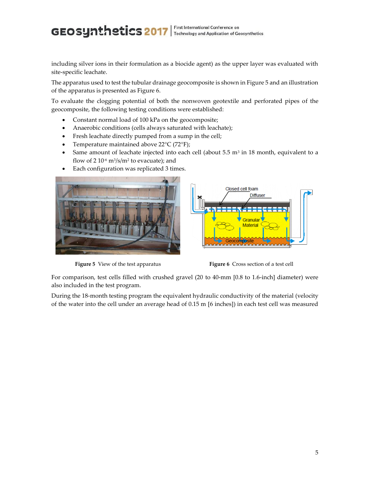including silver ions in their formulation as a biocide agent) as the upper layer was evaluated with site-specific leachate.

The apparatus used to test the tubular drainage geocomposite is shown in Figure 5 and an illustration of the apparatus is presented as Figure 6.

To evaluate the clogging potential of both the nonwoven geotextile and perforated pipes of the geocomposite, the following testing conditions were established:

- Constant normal load of 100 kPa on the geocomposite;
- Anaerobic conditions (cells always saturated with leachate);
- Fresh leachate directly pumped from a sump in the cell;
- Temperature maintained above 22°C (72°F);
- Same amount of leachate injected into each cell (about  $5.5 \text{ m}^3$  in 18 month, equivalent to a flow of 2 10-6 m<sup>3</sup> /s/m<sup>2</sup> to evacuate); and
- Each configuration was replicated 3 times.



**Figure 5** View of the test apparatus **Figure 6** Cross section of a test cell



For comparison, test cells filled with crushed gravel (20 to 40-mm [0.8 to 1.6-inch] diameter) were also included in the test program.

During the 18-month testing program the equivalent hydraulic conductivity of the material (velocity of the water into the cell under an average head of 0.15 m [6 inches]) in each test cell was measured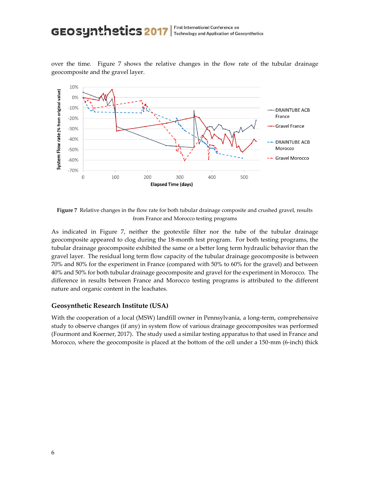over the time. Figure 7 shows the relative changes in the flow rate of the tubular drainage geocomposite and the gravel layer.



**Figure 7** Relative changes in the flow rate for both tubular drainage composite and crushed gravel, results from France and Morocco testing programs

As indicated in Figure 7, neither the geotextile filter nor the tube of the tubular drainage geocomposite appeared to clog during the 18-month test program. For both testing programs, the tubular drainage geocomposite exhibited the same or a better long term hydraulic behavior than the gravel layer. The residual long term flow capacity of the tubular drainage geocomposite is between 70% and 80% for the experiment in France (compared with 50% to 60% for the gravel) and between 40% and 50% for both tubular drainage geocomposite and gravel for the experiment in Morocco. The difference in results between France and Morocco testing programs is attributed to the different nature and organic content in the leachates.

#### **Geosynthetic Research Institute (USA)**

With the cooperation of a local (MSW) landfill owner in Pennsylvania, a long-term, comprehensive study to observe changes (if any) in system flow of various drainage geocomposites was performed (Fourmont and Koerner, 2017). The study used a similar testing apparatus to that used in France and Morocco, where the geocomposite is placed at the bottom of the cell under a 150-mm (6-inch) thick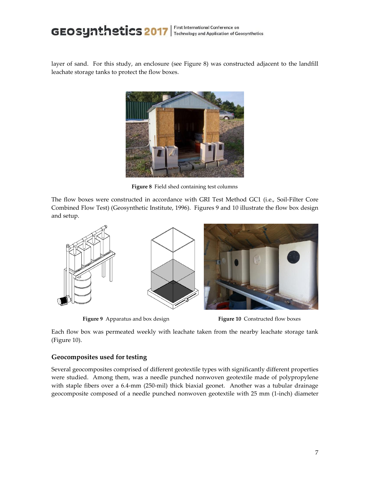layer of sand. For this study, an enclosure (see Figure 8) was constructed adjacent to the landfill leachate storage tanks to protect the flow boxes.



**Figure 8** Field shed containing test columns

The flow boxes were constructed in accordance with GRI Test Method GC1 (i.e., Soil-Filter Core Combined Flow Test) (Geosynthetic Institute, 1996). Figures 9 and 10 illustrate the flow box design and setup.



**Figure 9** Apparatus and box design **Figure 10** Constructed flow boxes

Each flow box was permeated weekly with leachate taken from the nearby leachate storage tank (Figure 10).

### **Geocomposites used for testing**

Several geocomposites comprised of different geotextile types with significantly different properties were studied. Among them, was a needle punched nonwoven geotextile made of polypropylene with staple fibers over a 6.4-mm (250-mil) thick biaxial geonet. Another was a tubular drainage geocomposite composed of a needle punched nonwoven geotextile with 25 mm (1-inch) diameter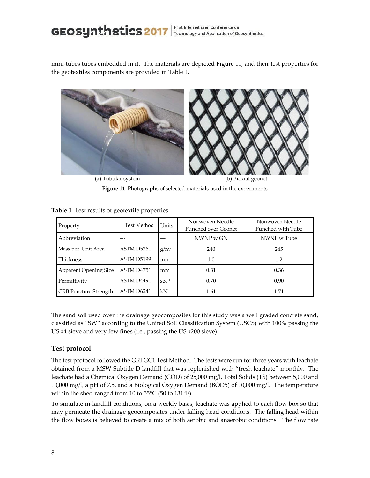mini-tubes tubes embedded in it. The materials are depicted Figure 11, and their test properties for the geotextiles components are provided in Table 1.



**Figure 11** Photographs of selected materials used in the experiments

| Property                     | Test Method | Units            | Nonwoven Needle<br>Punched over Geonet | Nonwoven Needle<br>Punched with Tube |
|------------------------------|-------------|------------------|----------------------------------------|--------------------------------------|
| Abbreviation                 | ---         |                  | NWNP <sub>w</sub> GN                   | NWNP w Tube                          |
| Mass per Unit Area           | ASTM D5261  | $g/m^2$          | 240                                    | 245                                  |
| Thickness                    | ASTM D5199  | mm               | 1.0                                    | 1.2                                  |
| <b>Apparent Opening Size</b> | ASTM D4751  | mm               | 0.31                                   | 0.36                                 |
| Permittivity                 | ASTM D4491  | sec <sup>1</sup> | 0.70                                   | 0.90                                 |
| <b>CRB</b> Puncture Strength | ASTM D6241  | kN               | 1.61                                   | 1.71                                 |

**Table 1** Test results of geotextile properties

The sand soil used over the drainage geocomposites for this study was a well graded concrete sand, classified as "SW" according to the United Soil Classification System (USCS) with 100% passing the US #4 sieve and very few fines (i.e., passing the US #200 sieve).

# **Test protocol**

The test protocol followed the GRI GC1 Test Method. The tests were run for three years with leachate obtained from a MSW Subtitle D landfill that was replenished with "fresh leachate" monthly. The leachate had a Chemical Oxygen Demand (COD) of 25,000 mg/l, Total Solids (TS) between 5,000 and 10,000 mg/l, a pH of 7.5, and a Biological Oxygen Demand (BOD5) of 10,000 mg/l. The temperature within the shed ranged from 10 to 55°C (50 to 131°F).

To simulate in-landfill conditions, on a weekly basis, leachate was applied to each flow box so that may permeate the drainage geocomposites under falling head conditions. The falling head within the flow boxes is believed to create a mix of both aerobic and anaerobic conditions. The flow rate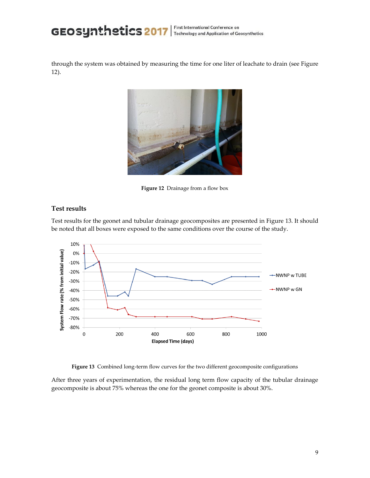through the system was obtained by measuring the time for one liter of leachate to drain (see Figure 12).



**Figure 12** Drainage from a flow box

### **Test results**

Test results for the geonet and tubular drainage geocomposites are presented in Figure 13. It should be noted that all boxes were exposed to the same conditions over the course of the study.



**Figure 13** Combined long-term flow curves for the two different geocomposite configurations

After three years of experimentation, the residual long term flow capacity of the tubular drainage geocomposite is about 75% whereas the one for the geonet composite is about 30%.